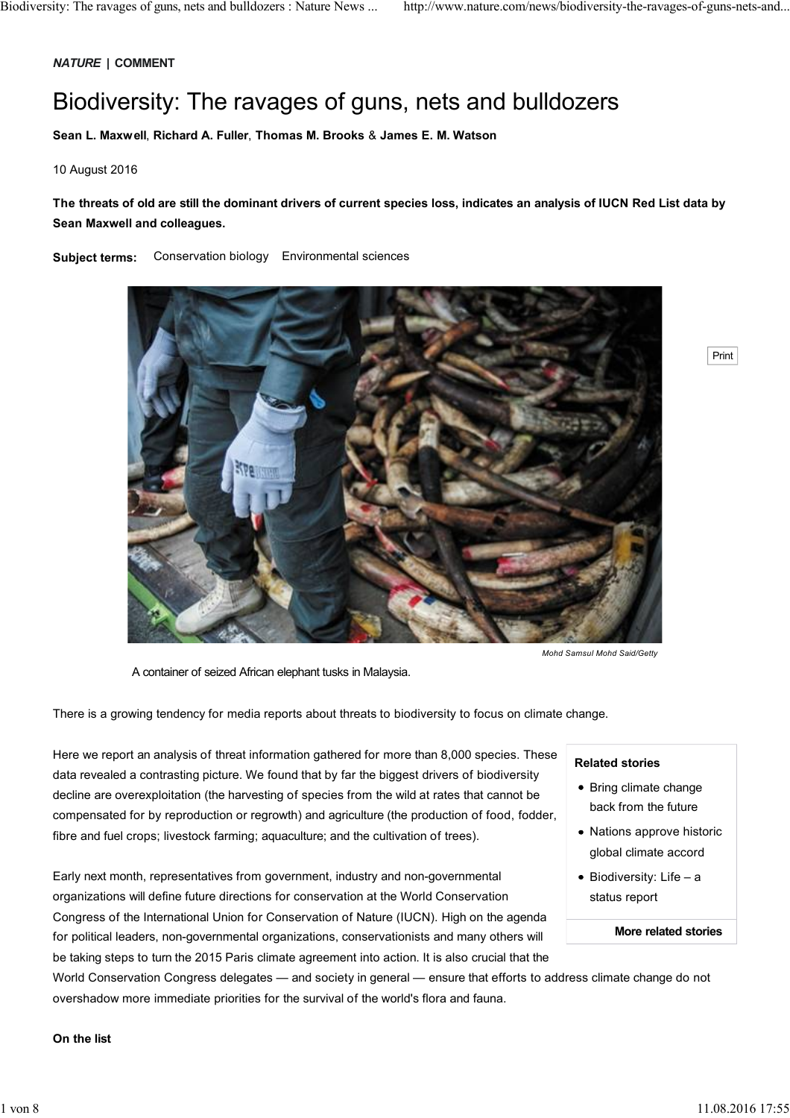# *NATURE* **| COMMENT**

# Biodiversity: The ravages of guns, nets and bulldozers

**Sean L. Maxwell**, **Richard A. Fuller**, **Thomas M. Brooks** & **James E. M. Watson**

# 10 August 2016

# **The threats of old are still the dominant drivers of current species loss, indicates an analysis of IUCN Red List data by Sean Maxwell and colleagues.**

**Subject terms:** Conservation biology Environmental sciences



A container of seized African elephant tusks in Malaysia.

There is a growing tendency for media reports about threats to biodiversity to focus on climate change.

Here we report an analysis of threat information gathered for more than 8,000 species. These data revealed a contrasting picture. We found that by far the biggest drivers of biodiversity decline are overexploitation (the harvesting of species from the wild at rates that cannot be compensated for by reproduction or regrowth) and agriculture (the production of food, fodder, fibre and fuel crops; livestock farming; aquaculture; and the cultivation of trees).

Early next month, representatives from government, industry and non-governmental organizations will define future directions for conservation at the World Conservation Congress of the International Union for Conservation of Nature (IUCN). High on the agenda for political leaders, non-governmental organizations, conservationists and many others will be taking steps to turn the 2015 Paris climate agreement into action. It is also crucial that the

World Conservation Congress delegates — and society in general — ensure that efforts to address climate change do not overshadow more immediate priorities for the survival of the world's flora and fauna.

# **Related stories**

• Bring climate change back from the future

Print

- Nations approve historic global climate accord
- $\bullet$  Biodiversity: Life a status report

#### **More related stories**

## **On the list**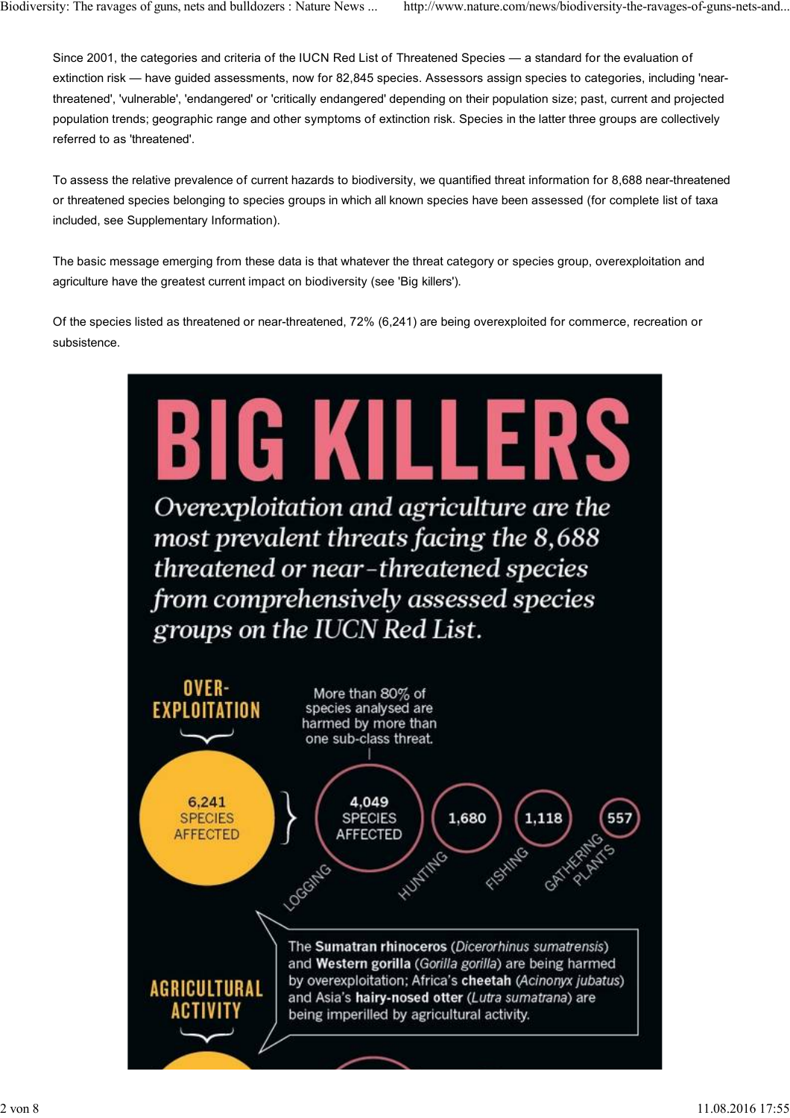Since 2001, the categories and criteria of the IUCN Red List of Threatened Species — a standard for the evaluation of extinction risk — have guided assessments, now for 82,845 species. Assessors assign species to categories, including 'nearthreatened', 'vulnerable', 'endangered' or 'critically endangered' depending on their population size; past, current and projected population trends; geographic range and other symptoms of extinction risk. Species in the latter three groups are collectively referred to as 'threatened'.

To assess the relative prevalence of current hazards to biodiversity, we quantified threat information for 8,688 near-threatened or threatened species belonging to species groups in which all known species have been assessed (for complete list of taxa included, see Supplementary Information).

The basic message emerging from these data is that whatever the threat category or species group, overexploitation and agriculture have the greatest current impact on biodiversity (see 'Big killers').

Of the species listed as threatened or near-threatened, 72% (6,241) are being overexploited for commerce, recreation or subsistence.

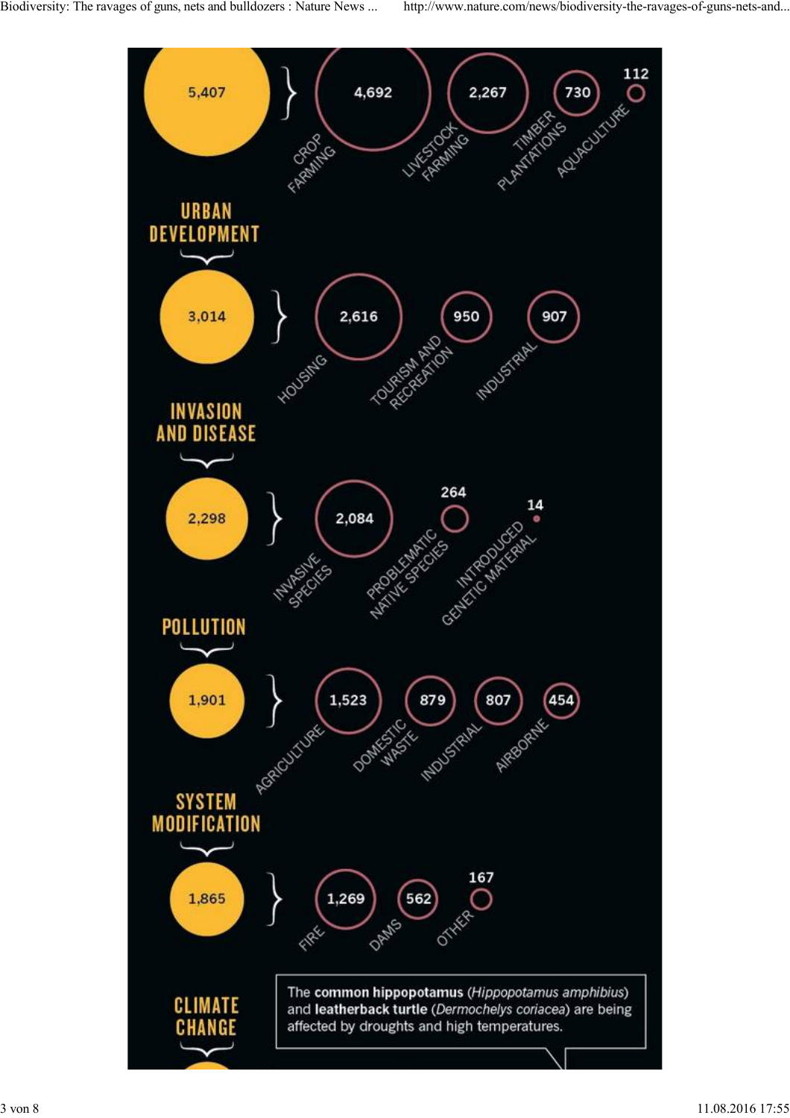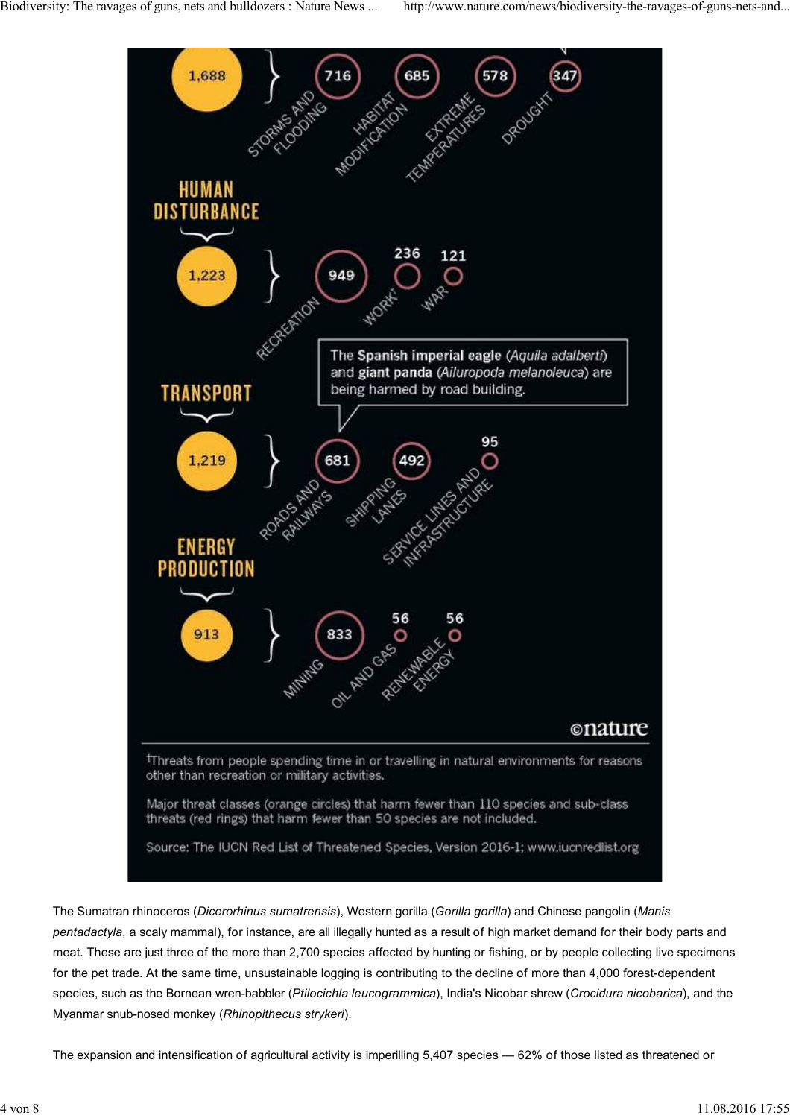

The Sumatran rhinoceros (*Dicerorhinus sumatrensis*), Western gorilla (*Gorilla gorilla*) and Chinese pangolin (*Manis pentadactyla*, a scaly mammal), for instance, are all illegally hunted as a result of high market demand for their body parts and meat. These are just three of the more than 2,700 species affected by hunting or fishing, or by people collecting live specimens for the pet trade. At the same time, unsustainable logging is contributing to the decline of more than 4,000 forest-dependent species, such as the Bornean wren-babbler (*Ptilocichla leucogrammica*), India's Nicobar shrew (*Crocidura nicobarica*), and the Myanmar snub-nosed monkey (*Rhinopithecus strykeri*).

The expansion and intensification of agricultural activity is imperilling 5,407 species — 62% of those listed as threatened or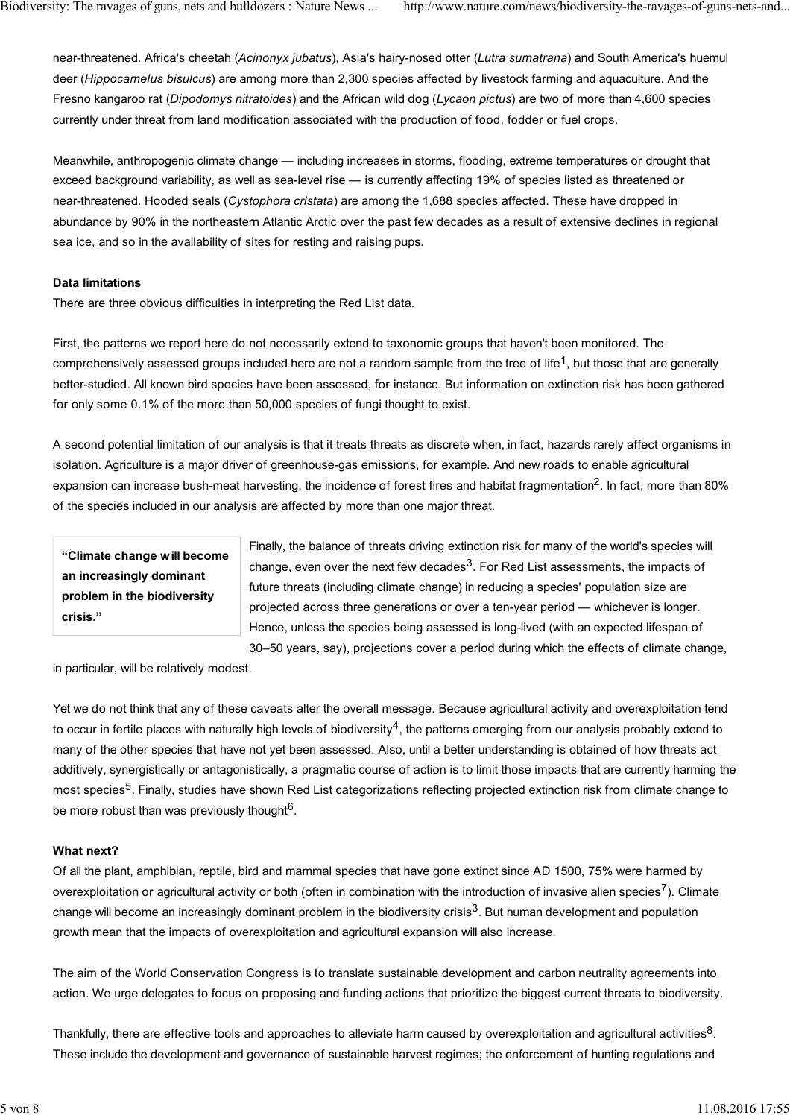near-threatened. Africa's cheetah (*Acinonyx jubatus*), Asia's hairy-nosed otter (*Lutra sumatrana*) and South America's huemul deer (*Hippocamelus bisulcus*) are among more than 2,300 species affected by livestock farming and aquaculture. And the Fresno kangaroo rat (*Dipodomys nitratoides*) and the African wild dog (*Lycaon pictus*) are two of more than 4,600 species currently under threat from land modification associated with the production of food, fodder or fuel crops.

Meanwhile, anthropogenic climate change — including increases in storms, flooding, extreme temperatures or drought that exceed background variability, as well as sea-level rise — is currently affecting 19% of species listed as threatened or near-threatened. Hooded seals (*Cystophora cristata*) are among the 1,688 species affected. These have dropped in abundance by 90% in the northeastern Atlantic Arctic over the past few decades as a result of extensive declines in regional sea ice, and so in the availability of sites for resting and raising pups.

#### **Data limitations**

There are three obvious difficulties in interpreting the Red List data.

First, the patterns we report here do not necessarily extend to taxonomic groups that haven't been monitored. The comprehensively assessed groups included here are not a random sample from the tree of life<sup>1</sup>, but those that are generally better-studied. All known bird species have been assessed, for instance. But information on extinction risk has been gathered for only some 0.1% of the more than 50,000 species of fungi thought to exist.

A second potential limitation of our analysis is that it treats threats as discrete when, in fact, hazards rarely affect organisms in isolation. Agriculture is a major driver of greenhouse-gas emissions, for example. And new roads to enable agricultural expansion can increase bush-meat harvesting, the incidence of forest fires and habitat fragmentation<sup>2</sup>. In fact, more than 80% of the species included in our analysis are affected by more than one major threat.

**"Climate change will become an increasingly dominant problem in the biodiversity crisis."**

Finally, the balance of threats driving extinction risk for many of the world's species will change, even over the next few decades<sup>3</sup>. For Red List assessments, the impacts of future threats (including climate change) in reducing a species' population size are projected across three generations or over a ten-year period — whichever is longer. Hence, unless the species being assessed is long-lived (with an expected lifespan of 30–50 years, say), projections cover a period during which the effects of climate change,

in particular, will be relatively modest.

Yet we do not think that any of these caveats alter the overall message. Because agricultural activity and overexploitation tend to occur in fertile places with naturally high levels of biodiversity<sup>4</sup>, the patterns emerging from our analysis probably extend to many of the other species that have not yet been assessed. Also, until a better understanding is obtained of how threats act additively, synergistically or antagonistically, a pragmatic course of action is to limit those impacts that are currently harming the most species<sup>5</sup>. Finally, studies have shown Red List categorizations reflecting projected extinction risk from climate change to be more robust than was previously thought $6$ .

# **What next?**

Of all the plant, amphibian, reptile, bird and mammal species that have gone extinct since AD 1500, 75% were harmed by overexploitation or agricultural activity or both (often in combination with the introduction of invasive alien species<sup>7</sup>). Climate change will become an increasingly dominant problem in the biodiversity crisis<sup>3</sup>. But human development and population growth mean that the impacts of overexploitation and agricultural expansion will also increase.

The aim of the World Conservation Congress is to translate sustainable development and carbon neutrality agreements into action. We urge delegates to focus on proposing and funding actions that prioritize the biggest current threats to biodiversity.

Thankfully, there are effective tools and approaches to alleviate harm caused by overexploitation and agricultural activities<sup>8</sup>. These include the development and governance of sustainable harvest regimes; the enforcement of hunting regulations and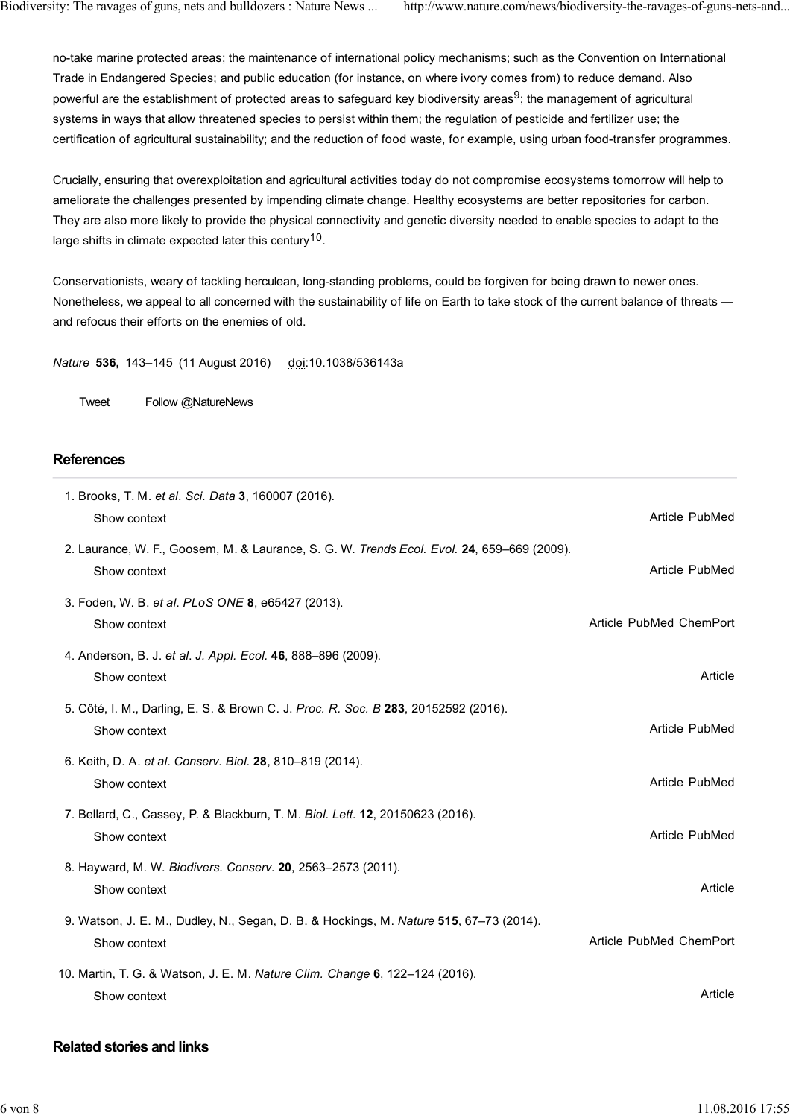no-take marine protected areas; the maintenance of international policy mechanisms; such as the Convention on International Trade in Endangered Species; and public education (for instance, on where ivory comes from) to reduce demand. Also powerful are the establishment of protected areas to safeguard key biodiversity areas<sup>9</sup>; the management of agricultural systems in ways that allow threatened species to persist within them; the regulation of pesticide and fertilizer use; the certification of agricultural sustainability; and the reduction of food waste, for example, using urban food-transfer programmes.

Crucially, ensuring that overexploitation and agricultural activities today do not compromise ecosystems tomorrow will help to ameliorate the challenges presented by impending climate change. Healthy ecosystems are better repositories for carbon. They are also more likely to provide the physical connectivity and genetic diversity needed to enable species to adapt to the large shifts in climate expected later this century<sup>10</sup>.

Conservationists, weary of tackling herculean, long-standing problems, could be forgiven for being drawn to newer ones. Nonetheless, we appeal to all concerned with the sustainability of life on Earth to take stock of the current balance of threats and refocus their efforts on the enemies of old.

*Nature* **536,** 143–145 (11 August 2016) doi:10.1038/536143a

Tweet Follow @NatureNews

# **References**

| 1. Brooks, T. M. et al. Sci. Data 3, 160007 (2016).<br>Show context                                        | Article PubMed          |
|------------------------------------------------------------------------------------------------------------|-------------------------|
| 2. Laurance, W. F., Goosem, M. & Laurance, S. G. W. Trends Ecol. Evol. 24, 659-669 (2009).<br>Show context | Article PubMed          |
| 3. Foden, W. B. et al. PLoS ONE 8, e65427 (2013).<br>Show context                                          | Article PubMed ChemPort |
| 4. Anderson, B. J. et al. J. Appl. Ecol. 46, 888-896 (2009).<br>Show context                               | Article                 |
| 5. Côté, I. M., Darling, E. S. & Brown C. J. Proc. R. Soc. B 283, 20152592 (2016).<br>Show context         | Article PubMed          |
| 6. Keith, D. A. et al. Conserv. Biol. 28, 810-819 (2014).<br>Show context                                  | Article PubMed          |
| 7. Bellard, C., Cassey, P. & Blackburn, T. M. Biol. Lett. 12, 20150623 (2016).<br>Show context             | Article PubMed          |
| 8. Hayward, M. W. Biodivers. Conserv. 20, 2563-2573 (2011).<br>Show context                                | Article                 |
| 9. Watson, J. E. M., Dudley, N., Segan, D. B. & Hockings, M. Nature 515, 67-73 (2014).<br>Show context     | Article PubMed ChemPort |
| 10. Martin, T. G. & Watson, J. E. M. Nature Clim. Change 6, 122-124 (2016).<br>Show context                | Article                 |

# **Related stories and links**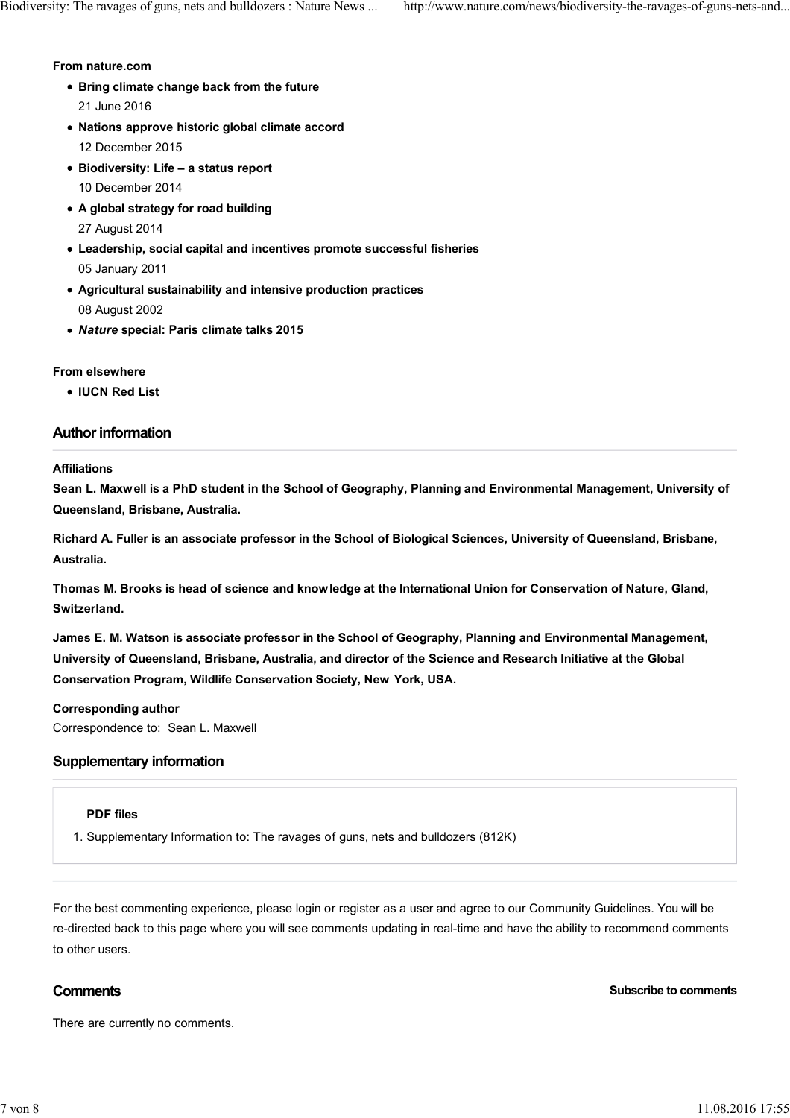#### **From nature.com**

- **Bring climate change back from the future** 21 June 2016
- **Nations approve historic global climate accord** 12 December 2015
- **Biodiversity: Life a status report** 10 December 2014
- **A global strategy for road building** 27 August 2014
- **Leadership, social capital and incentives promote successful fisheries** 05 January 2011
- **Agricultural sustainability and intensive production practices** 08 August 2002
- *Nature* **special: Paris climate talks 2015**

# **From elsewhere**

**IUCN Red List**

# **Author information**

# **Affiliations**

**Sean L. Maxwell is a PhD student in the School of Geography, Planning and Environmental Management, University of Queensland, Brisbane, Australia.**

**Richard A. Fuller is an associate professor in the School of Biological Sciences, University of Queensland, Brisbane, Australia.**

**Thomas M. Brooks is head of science and knowledge at the International Union for Conservation of Nature, Gland, Switzerland.**

**James E. M. Watson is associate professor in the School of Geography, Planning and Environmental Management, University of Queensland, Brisbane, Australia, and director of the Science and Research Initiative at the Global Conservation Program, Wildlife Conservation Society, New York, USA.**

# **Corresponding author**

Correspondence to: Sean L. Maxwell

# **Supplementary information**

# **PDF files**

1. Supplementary Information to: The ravages of guns, nets and bulldozers (812K)

For the best commenting experience, please login or register as a user and agree to our Community Guidelines. You will be re-directed back to this page where you will see comments updating in real-time and have the ability to recommend comments to other users.

**Comments Subscribe to comments** 

There are currently no comments.